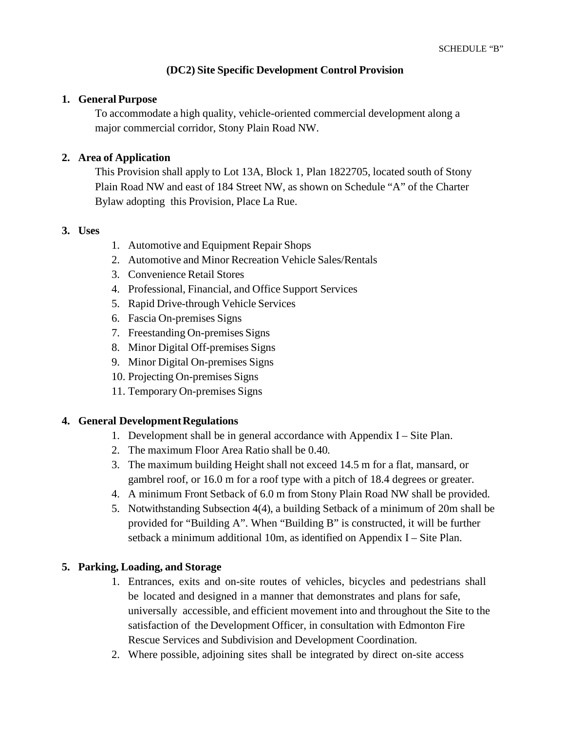### **(DC2) Site Specific Development Control Provision**

#### **1. General Purpose**

To accommodate a high quality, vehicle-oriented commercial development along a major commercial corridor, Stony Plain Road NW.

### **2. Area of Application**

This Provision shall apply to Lot 13A, Block 1, Plan 1822705, located south of Stony Plain Road NW and east of 184 Street NW, as shown on Schedule "A" of the Charter Bylaw adopting this Provision, Place La Rue.

#### **3. Uses**

- 1. Automotive and Equipment Repair Shops
- 2. Automotive and Minor Recreation Vehicle Sales/Rentals
- 3. Convenience Retail Stores
- 4. Professional, Financial, and Office Support Services
- 5. Rapid Drive-through Vehicle Services
- 6. Fascia On-premises Signs
- 7. Freestanding On-premises Signs
- 8. Minor Digital Off-premises Signs
- 9. Minor Digital On-premises Signs
- 10. Projecting On-premises Signs
- 11. Temporary On-premises Signs

#### **4. General Development Regulations**

- 1. Development shall be in general accordance with Appendix I Site Plan.
- 2. The maximum Floor Area Ratio shall be 0.40.
- 3. The maximum building Height shall not exceed 14.5 m for a flat, mansard, or gambrel roof, or 16.0 m for a roof type with a pitch of 18.4 degrees or greater.
- 4. A minimum Front Setback of 6.0 m from Stony Plain Road NW shall be provided.
- 5. Notwithstanding Subsection 4(4), a building Setback of a minimum of 20m shall be provided for "Building A". When "Building B" is constructed, it will be further setback a minimum additional 10m, as identified on Appendix I – Site Plan.

#### **5. Parking, Loading, and Storage**

- 1. Entrances, exits and on-site routes of vehicles, bicycles and pedestrians shall be located and designed in a manner that demonstrates and plans for safe, universally accessible, and efficient movement into and throughout the Site to the satisfaction of the Development Officer, in consultation with Edmonton Fire Rescue Services and Subdivision and Development Coordination.
- 2. Where possible, adjoining sites shall be integrated by direct on-site access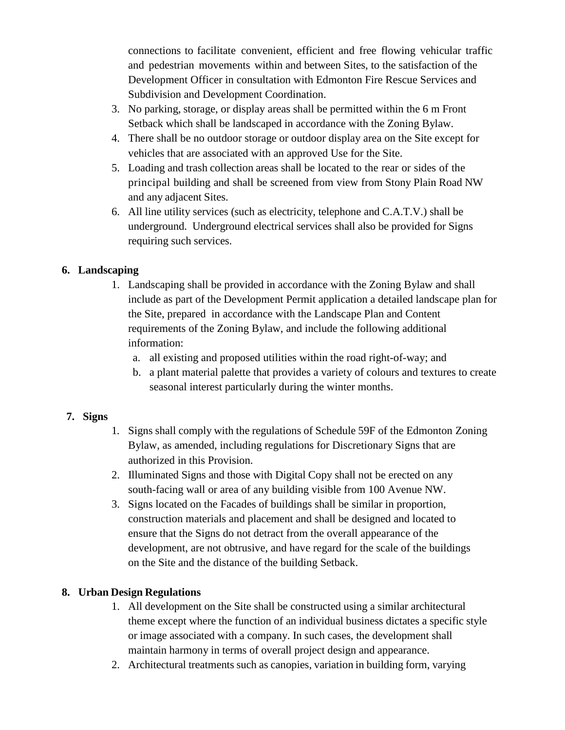connections to facilitate convenient, efficient and free flowing vehicular traffic and pedestrian movements within and between Sites, to the satisfaction of the Development Officer in consultation with Edmonton Fire Rescue Services and Subdivision and Development Coordination.

- 3. No parking, storage, or display areas shall be permitted within the 6 m Front Setback which shall be landscaped in accordance with the Zoning Bylaw.
- 4. There shall be no outdoor storage or outdoor display area on the Site except for vehicles that are associated with an approved Use for the Site.
- 5. Loading and trash collection areas shall be located to the rear or sides of the principal building and shall be screened from view from Stony Plain Road NW and any adjacent Sites.
- 6. All line utility services (such as electricity, telephone and C.A.T.V.) shall be underground. Underground electrical services shall also be provided for Signs requiring such services.

## **6. Landscaping**

- 1. Landscaping shall be provided in accordance with the Zoning Bylaw and shall include as part of the Development Permit application a detailed landscape plan for the Site, prepared in accordance with the Landscape Plan and Content requirements of the Zoning Bylaw, and include the following additional information:
	- a. all existing and proposed utilities within the road right-of-way; and
	- b. a plant material palette that provides a variety of colours and textures to create seasonal interest particularly during the winter months.

## **7. Signs**

- 1. Signs shall comply with the regulations of Schedule 59F of the Edmonton Zoning Bylaw, as amended, including regulations for Discretionary Signs that are authorized in this Provision.
- 2. Illuminated Signs and those with Digital Copy shall not be erected on any south-facing wall or area of any building visible from 100 Avenue NW.
- 3. Signs located on the Facades of buildings shall be similar in proportion, construction materials and placement and shall be designed and located to ensure that the Signs do not detract from the overall appearance of the development, are not obtrusive, and have regard for the scale of the buildings on the Site and the distance of the building Setback.

# **8. Urban Design Regulations**

- 1. All development on the Site shall be constructed using a similar architectural theme except where the function of an individual business dictates a specific style or image associated with a company. In such cases, the development shall maintain harmony in terms of overall project design and appearance.
- 2. Architectural treatments such as canopies, variation in building form, varying